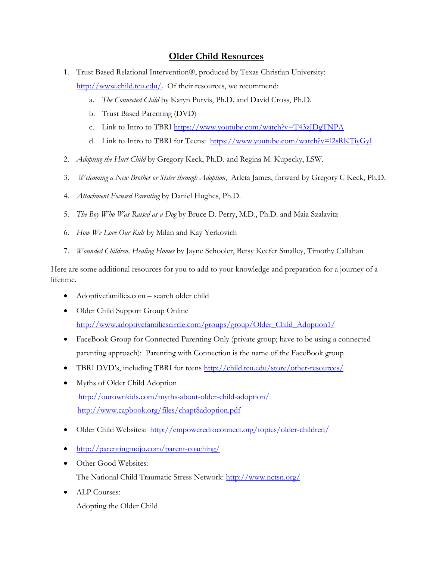## **Older Child Resources**

- 1. Trust Based Relational Intervention®, produced by Texas Christian University: [http://www.child.tcu.edu/.](http://www.child.tcu.edu/) Of their resources, we recommend:
	- a. *The Connected Child* by Karyn Purvis, Ph.D. and David Cross, Ph.D.
	- b. Trust Based Parenting (DVD)
	- c. Link to Intro to TBRI<https://www.youtube.com/watch?v=T43zJDgTNPA>
	- d. Link to Intro to TBRI for Teens: <https://www.youtube.com/watch?v=l2sRKTiyGyI>
- 2. *Adopting the Hurt Child* by Gregory Keck, Ph.D. and Regina M. Kupecky, LSW.
- 3. *Welcoming a New Brother or Sister through Adoption*, Arleta James, forward by Gregory C Keck, Ph,D.
- 4. *Attachment Focused Parenting* by Daniel Hughes, Ph.D.
- 5. *The Boy Who Was Raised as a Dog* by Bruce D. Perry, M.D., Ph.D. and Maia Szalavitz
- 6. *How We Love Our Kids* by Milan and Kay Yerkovich
- 7. *Wounded Children, Healing Homes* by [Jayne Schooler,](https://www.amazon.com/s/ref=dp_byline_sr_book_1?ie=UTF8&text=Jayne+Schooler&search-alias=books&field-author=Jayne+Schooler&sort=relevancerank) [Betsy Keefer Smalley,](https://www.amazon.com/s/ref=dp_byline_sr_book_2?ie=UTF8&text=Betsy+Keefer+Smalley&search-alias=books&field-author=Betsy+Keefer+Smalley&sort=relevancerank) [Timothy Callahan](https://www.amazon.com/s/ref=dp_byline_sr_book_3?ie=UTF8&text=Timothy+Callahan&search-alias=books&field-author=Timothy+Callahan&sort=relevancerank)

Here are some additional resources for you to add to your knowledge and preparation for a journey of a lifetime.

- Adoptivefamilies.com search older child
- Older Child Support Group Online [http://www.adoptivefamiliescircle.com/groups/group/Older\\_Child\\_Adoption1/](http://www.adoptivefamiliescircle.com/groups/group/Older_Child_Adoption1/)
- FaceBook Group for Connected Parenting Only (private group; have to be using a connected parenting approach): Parenting with Connection is the name of the FaceBook group
- TBRI DVD's, including TBRI for teens <http://child.tcu.edu/store/other-resources/>
- Myths of Older Child Adoption <http://ourownkids.com/myths-about-older-child-adoption/> <http://www.capbook.org/files/chapt8adoption.pdf>
- Older Child Websites: <http://empoweredtoconnect.org/topics/older-children/>
- <http://parentingmojo.com/parent-coaching/>
- Other Good Websites: The National Child Traumatic Stress Network:<http://www.nctsn.org/>
- ALP Courses: Adopting the Older Child